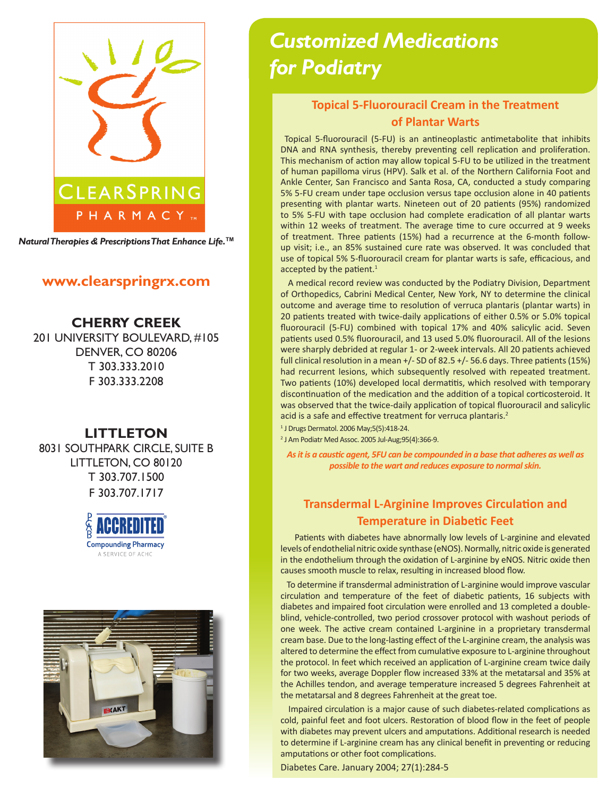

*Natural Therapies & Prescriptions That Enhance Life.***TM**

### **www.clearspringrx.com**

**CHERRY CREEK** 201 UNIVERSITY BOULEVARD, #105 DENVER, CO 80206 T 303.333.2010 F 303.333.2208

### **LITTLETON**

8031 SOUTHPARK CIRCLE, SUITE B LITTLETON, CO 80120 T 303.707.1500 F 303.707.1717





# *Customized Medications for Podiatry*

# **Topical 5-Fluorouracil Cream in the Treatment of Plantar Warts**

Topical 5-fluorouracil (5-FU) is an antineoplastic antimetabolite that inhibits DNA and RNA synthesis, thereby preventing cell replication and proliferation. This mechanism of action may allow topical 5-FU to be utilized in the treatment of human papilloma virus (HPV). Salk et al. of the Northern California Foot and Ankle Center, San Francisco and Santa Rosa, CA, conducted a study comparing 5% 5-FU cream under tape occlusion versus tape occlusion alone in 40 patients presenting with plantar warts. Nineteen out of 20 patients (95%) randomized to 5% 5-FU with tape occlusion had complete eradication of all plantar warts within 12 weeks of treatment. The average time to cure occurred at 9 weeks of treatment. Three patients (15%) had a recurrence at the 6-month followup visit; i.e., an 85% sustained cure rate was observed. It was concluded that use of topical 5% 5-fluorouracil cream for plantar warts is safe, efficacious, and accepted by the patient. $1$ 

 A medical record review was conducted by the Podiatry Division, Department of Orthopedics, Cabrini Medical Center, New York, NY to determine the clinical outcome and average time to resolution of verruca plantaris (plantar warts) in 20 patients treated with twice-daily applications of either 0.5% or 5.0% topical fluorouracil (5-FU) combined with topical 17% and 40% salicylic acid. Seven patients used 0.5% fluorouracil, and 13 used 5.0% fluorouracil. All of the lesions were sharply debrided at regular 1- or 2-week intervals. All 20 patients achieved full clinical resolution in a mean  $+/-$  SD of 82.5  $+/-$  56.6 days. Three patients (15%) had recurrent lesions, which subsequently resolved with repeated treatment. Two patients (10%) developed local dermatitis, which resolved with temporary discontinuation of the medication and the addition of a topical corticosteroid. It was observed that the twice-daily application of topical fluorouracil and salicylic acid is a safe and effective treatment for verruca plantaris.<sup>2</sup>

1 J Drugs Dermatol. 2006 May;5(5):418-24.

2 J Am Podiatr Med Assoc. 2005 Jul-Aug;95(4):366-9.

*As it is a caustic agent, 5FU can be compounded in a base that adheres as well as possible to the wart and reduces exposure to normal skin.* 

# **Transdermal L-Arginine Improves Circulation and Temperature in Diabetic Feet**

 Patients with diabetes have abnormally low levels of L-arginine and elevated levels of endothelial nitric oxide synthase (eNOS). Normally, nitric oxide is generated in the endothelium through the oxidation of L-arginine by eNOS. Nitric oxide then causes smooth muscle to relax, resulting in increased blood flow.

 To determine if transdermal administration of L-arginine would improve vascular circulation and temperature of the feet of diabetic patients, 16 subjects with diabetes and impaired foot circulation were enrolled and 13 completed a doubleblind, vehicle-controlled, two period crossover protocol with washout periods of one week. The active cream contained L-arginine in a proprietary transdermal cream base. Due to the long-lasting effect of the L-arginine cream, the analysis was altered to determine the effect from cumulative exposure to L-arginine throughout the protocol. In feet which received an application of L-arginine cream twice daily for two weeks, average Doppler flow increased 33% at the metatarsal and 35% at the Achilles tendon, and average temperature increased 5 degrees Fahrenheit at the metatarsal and 8 degrees Fahrenheit at the great toe.

 Impaired circulation is a major cause of such diabetes-related complications as cold, painful feet and foot ulcers. Restoration of blood flow in the feet of people with diabetes may prevent ulcers and amputations. Additional research is needed to determine if L-arginine cream has any clinical benefit in preventing or reducing amputations or other foot complications.

Diabetes Care. January 2004; 27(1):284-5